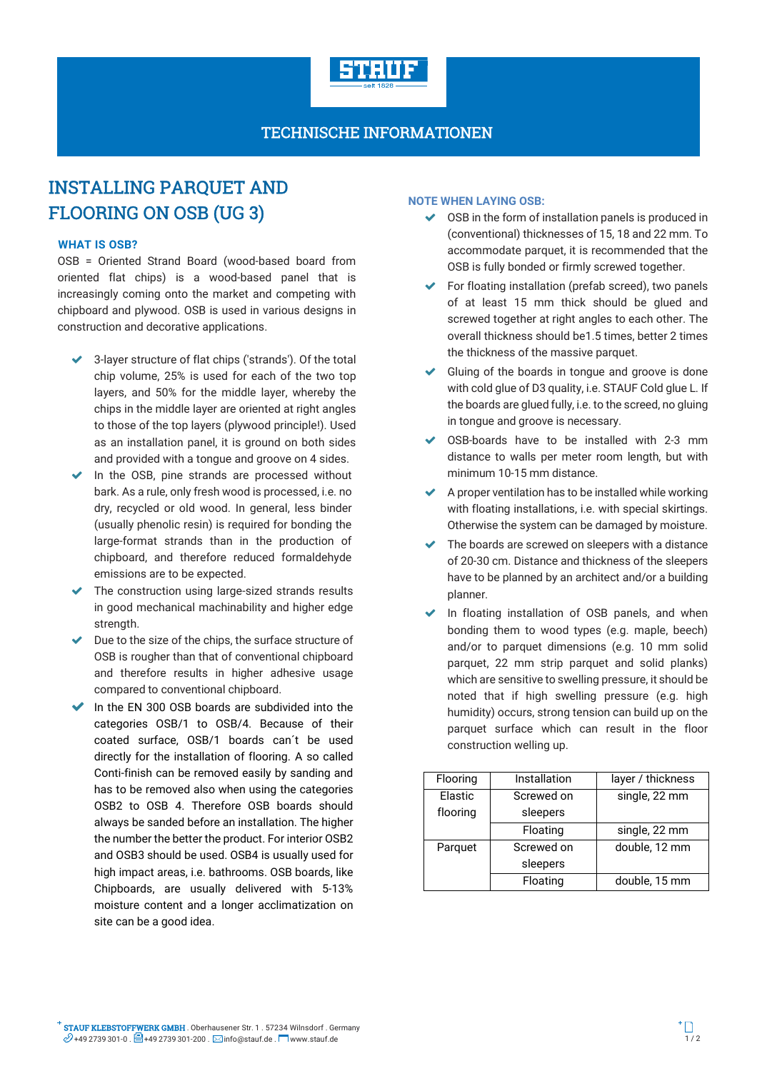

## TECHNISCHE INFORMATIONEN

# INSTALLING PARQUET AND FLOORING ON OSB (UG 3)

### **WHAT IS OSB?**

OSB = Oriented Strand Board (wood-based board from oriented flat chips) is a wood-based panel that is increasingly coming onto the market and competing with chipboard and plywood. OSB is used in various designs in construction and decorative applications.

- 3-layer structure of flat chips ('strands'). Of the total chip volume, 25% is used for each of the two top layers, and 50% for the middle layer, whereby the chips in the middle layer are oriented at right angles to those of the top layers (plywood principle!). Used as an installation panel, it is ground on both sides and provided with a tongue and groove on 4 sides.
- $\triangleright$  In the OSB, pine strands are processed without bark. As a rule, only fresh wood is processed, i.e. no dry, recycled or old wood. In general, less binder (usually phenolic resin) is required for bonding the large-format strands than in the production of chipboard, and therefore reduced formaldehyde emissions are to be expected.
- The construction using large-sized strands results in good mechanical machinability and higher edge strength.
- $\triangleright$  Due to the size of the chips, the surface structure of OSB is rougher than that of conventional chipboard and therefore results in higher adhesive usage compared to conventional chipboard.
- $\blacktriangleright$  In the EN 300 OSB boards are subdivided into the categories OSB/1 to OSB/4. Because of their coated surface, OSB/1 boards can´t be used directly for the installation of flooring. A so called Conti-finish can be removed easily by sanding and has to be removed also when using the categories OSB2 to OSB 4. Therefore OSB boards should always be sanded before an installation. The higher the number the better the product. For interior OSB2 and OSB3 should be used. OSB4 is usually used for high impact areas, i.e. bathrooms. OSB boards, like Chipboards, are usually delivered with 5-13% moisture content and a longer acclimatization on site can be a good idea.

### **NOTE WHEN LAYING OSB:**

- OSB in the form of installation panels is produced in (conventional) thicknesses of 15, 18 and 22 mm. To accommodate parquet, it is recommended that the OSB is fully bonded or firmly screwed together.
- For floating installation (prefab screed), two panels of at least 15 mm thick should be glued and screwed together at right angles to each other. The overall thickness should be1.5 times, better 2 times the thickness of the massive parquet.
- Gluing of the boards in tongue and groove is done with cold glue of D3 quality, i.e. STAUF Cold glue L. If the boards are glued fully, i.e. to the screed, no gluing in tongue and groove is necessary.
- OSB-boards have to be installed with 2-3 mm distance to walls per meter room length, but with minimum 10-15 mm distance.
- A proper ventilation has to be installed while working with floating installations, i.e. with special skirtings. Otherwise the system can be damaged by moisture.
- $\blacktriangleright$  The boards are screwed on sleepers with a distance of 20-30 cm. Distance and thickness of the sleepers have to be planned by an architect and/or a building planner.
- In floating installation of OSB panels, and when bonding them to wood types (e.g. maple, beech) and/or to parquet dimensions (e.g. 10 mm solid parquet, 22 mm strip parquet and solid planks) which are sensitive to swelling pressure, it should be noted that if high swelling pressure (e.g. high humidity) occurs, strong tension can build up on the parquet surface which can result in the floor construction welling up.

| Flooring | Installation | layer / thickness |  |
|----------|--------------|-------------------|--|
| Elastic  | Screwed on   | single, 22 mm     |  |
| flooring | sleepers     |                   |  |
|          | Floating     | single, 22 mm     |  |
| Parquet  | Screwed on   | double, 12 mm     |  |
|          | sleepers     |                   |  |
|          | Floating     | double, 15 mm     |  |